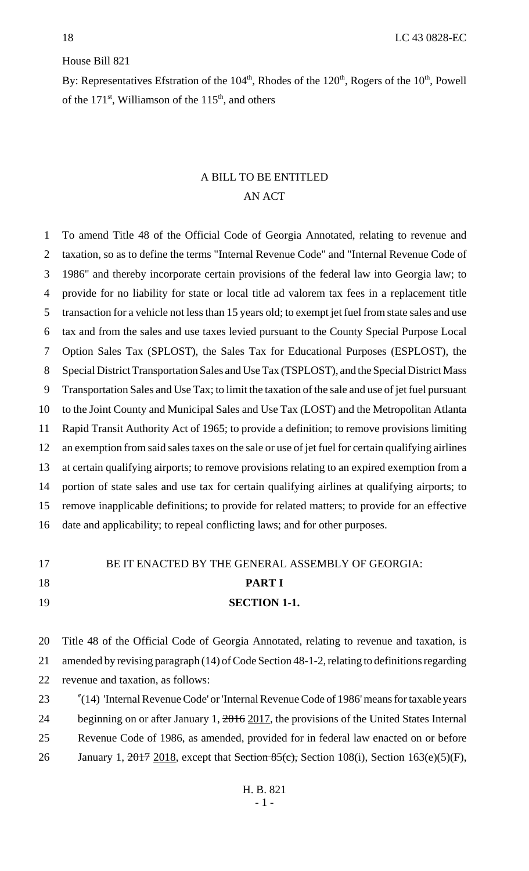### House Bill 821

By: Representatives Efstration of the  $104<sup>th</sup>$ , Rhodes of the  $120<sup>th</sup>$ , Rogers of the  $10<sup>th</sup>$ , Powell of the  $171<sup>st</sup>$ , Williamson of the  $115<sup>th</sup>$ , and others

# A BILL TO BE ENTITLED AN ACT

 To amend Title 48 of the Official Code of Georgia Annotated, relating to revenue and taxation, so as to define the terms "Internal Revenue Code" and "Internal Revenue Code of 1986" and thereby incorporate certain provisions of the federal law into Georgia law; to provide for no liability for state or local title ad valorem tax fees in a replacement title transaction for a vehicle not less than 15 years old; to exempt jet fuel from state sales and use tax and from the sales and use taxes levied pursuant to the County Special Purpose Local Option Sales Tax (SPLOST), the Sales Tax for Educational Purposes (ESPLOST), the Special District Transportation Sales and Use Tax (TSPLOST), and the Special District Mass Transportation Sales and Use Tax; to limit the taxation of the sale and use of jet fuel pursuant to the Joint County and Municipal Sales and Use Tax (LOST) and the Metropolitan Atlanta Rapid Transit Authority Act of 1965; to provide a definition; to remove provisions limiting an exemption from said sales taxes on the sale or use of jet fuel for certain qualifying airlines at certain qualifying airports; to remove provisions relating to an expired exemption from a portion of state sales and use tax for certain qualifying airlines at qualifying airports; to remove inapplicable definitions; to provide for related matters; to provide for an effective date and applicability; to repeal conflicting laws; and for other purposes.

### 17 BE IT ENACTED BY THE GENERAL ASSEMBLY OF GEORGIA:

### **PART I**

### **SECTION 1-1.**

 Title 48 of the Official Code of Georgia Annotated, relating to revenue and taxation, is amended by revising paragraph (14) of Code Section 48-1-2, relating to definitions regarding revenue and taxation, as follows:

 "(14) 'Internal Revenue Code' or 'Internal Revenue Code of 1986' means for taxable years 24 beginning on or after January 1, 2016 2017, the provisions of the United States Internal Revenue Code of 1986, as amended, provided for in federal law enacted on or before 26 January 1, 2017 2018, except that Section 85(c), Section 108(i), Section 163(e)(5)(F),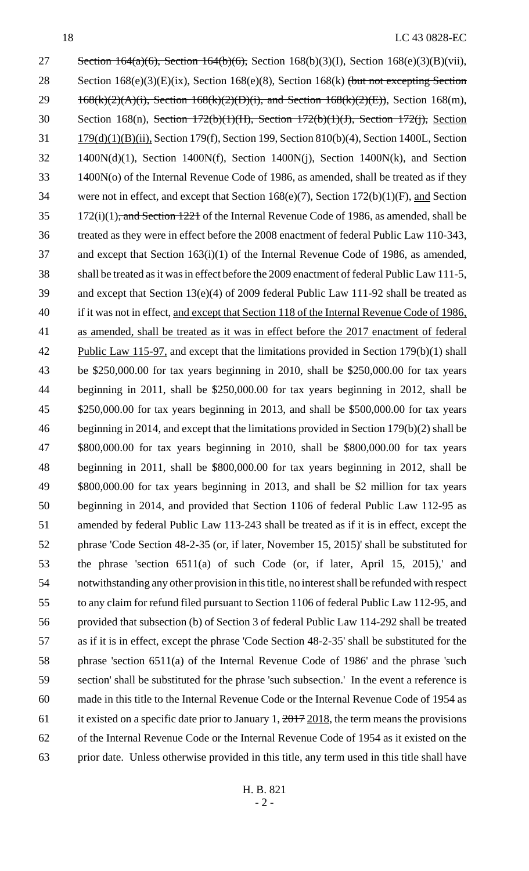27 Section 164(a)(6), Section 164(b)(6), Section 168(b)(3)(I), Section 168(e)(3)(B)(vii), 28 Section 168(e)(3)(E)(ix), Section 168(e)(8), Section 168(k) (but not excepting Section  $168(k)(2)(A)(i)$ , Section  $168(k)(2)(D)(i)$ , and Section  $168(k)(2)(E)$ ), Section 168(m), Section 168(n), Section 172(b)(1)(H), Section 172(b)(1)(J), Section 172(j), Section 179(d)(1)(B)(ii), Section 179(f), Section 199, Section 810(b)(4), Section 1400L, Section 1400N(d)(1), Section 1400N(f), Section 1400N(j), Section 1400N(k), and Section 1400N(o) of the Internal Revenue Code of 1986, as amended, shall be treated as if they were not in effect, and except that Section 168(e)(7), Section 172(b)(1)(F), and Section 172(i)(1), and Section 1221 of the Internal Revenue Code of 1986, as amended, shall be treated as they were in effect before the 2008 enactment of federal Public Law 110-343, and except that Section 163(i)(1) of the Internal Revenue Code of 1986, as amended, shall be treated as it was in effect before the 2009 enactment of federal Public Law 111-5, and except that Section 13(e)(4) of 2009 federal Public Law 111-92 shall be treated as 40 if it was not in effect, and except that Section 118 of the Internal Revenue Code of 1986, as amended, shall be treated as it was in effect before the 2017 enactment of federal Public Law 115-97, and except that the limitations provided in Section 179(b)(1) shall be \$250,000.00 for tax years beginning in 2010, shall be \$250,000.00 for tax years beginning in 2011, shall be \$250,000.00 for tax years beginning in 2012, shall be \$250,000.00 for tax years beginning in 2013, and shall be \$500,000.00 for tax years beginning in 2014, and except that the limitations provided in Section 179(b)(2) shall be \$800,000.00 for tax years beginning in 2010, shall be \$800,000.00 for tax years beginning in 2011, shall be \$800,000.00 for tax years beginning in 2012, shall be \$800,000.00 for tax years beginning in 2013, and shall be \$2 million for tax years beginning in 2014, and provided that Section 1106 of federal Public Law 112-95 as amended by federal Public Law 113-243 shall be treated as if it is in effect, except the phrase 'Code Section 48-2-35 (or, if later, November 15, 2015)' shall be substituted for the phrase 'section 6511(a) of such Code (or, if later, April 15, 2015),' and notwithstanding any other provision in this title, no interest shall be refunded with respect to any claim for refund filed pursuant to Section 1106 of federal Public Law 112-95, and provided that subsection (b) of Section 3 of federal Public Law 114-292 shall be treated as if it is in effect, except the phrase 'Code Section 48-2-35' shall be substituted for the phrase 'section 6511(a) of the Internal Revenue Code of 1986' and the phrase 'such section' shall be substituted for the phrase 'such subsection.' In the event a reference is made in this title to the Internal Revenue Code or the Internal Revenue Code of 1954 as 61 it existed on a specific date prior to January 1,  $2017 - 2018$ , the term means the provisions of the Internal Revenue Code or the Internal Revenue Code of 1954 as it existed on the prior date. Unless otherwise provided in this title, any term used in this title shall have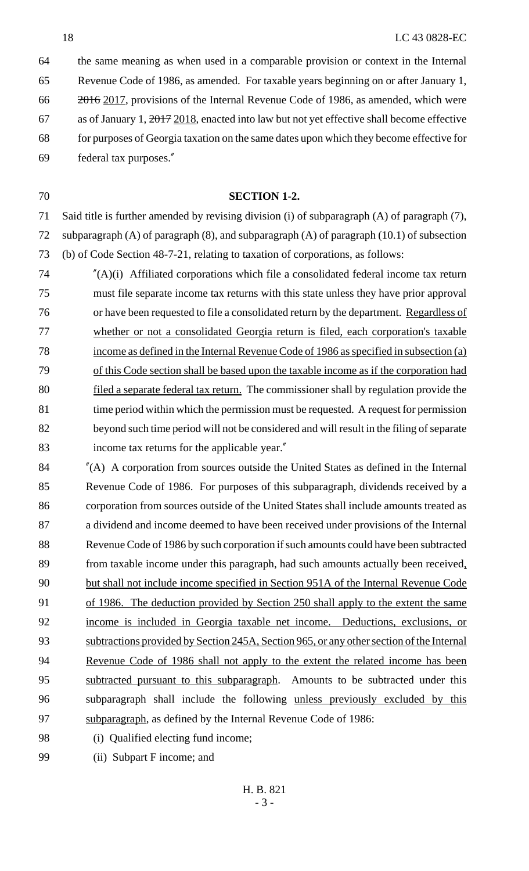the same meaning as when used in a comparable provision or context in the Internal Revenue Code of 1986, as amended. For taxable years beginning on or after January 1, 66 2016 2017, provisions of the Internal Revenue Code of 1986, as amended, which were 67 as of January 1,  $\frac{2017}{2018}$ , enacted into law but not yet effective shall become effective for purposes of Georgia taxation on the same dates upon which they become effective for federal tax purposes."

### **SECTION 1-2.**

 Said title is further amended by revising division (i) of subparagraph (A) of paragraph (7), subparagraph (A) of paragraph (8), and subparagraph (A) of paragraph (10.1) of subsection (b) of Code Section 48-7-21, relating to taxation of corporations, as follows:

 "(A)(i) Affiliated corporations which file a consolidated federal income tax return must file separate income tax returns with this state unless they have prior approval 76 or have been requested to file a consolidated return by the department. Regardless of whether or not a consolidated Georgia return is filed, each corporation's taxable income as defined in the Internal Revenue Code of 1986 as specified in subsection (a) of this Code section shall be based upon the taxable income as if the corporation had 80 filed a separate federal tax return. The commissioner shall by regulation provide the time period within which the permission must be requested. A request for permission beyond such time period will not be considered and will result in the filing of separate income tax returns for the applicable year."

 "(A) A corporation from sources outside the United States as defined in the Internal Revenue Code of 1986. For purposes of this subparagraph, dividends received by a corporation from sources outside of the United States shall include amounts treated as a dividend and income deemed to have been received under provisions of the Internal Revenue Code of 1986 by such corporation if such amounts could have been subtracted 89 from taxable income under this paragraph, had such amounts actually been received. but shall not include income specified in Section 951A of the Internal Revenue Code of 1986. The deduction provided by Section 250 shall apply to the extent the same income is included in Georgia taxable net income. Deductions, exclusions, or subtractions provided by Section 245A, Section 965, or any other section of the Internal 94 Revenue Code of 1986 shall not apply to the extent the related income has been 95 subtracted pursuant to this subparagraph. Amounts to be subtracted under this subparagraph shall include the following unless previously excluded by this 97 subparagraph, as defined by the Internal Revenue Code of 1986:

- 98 (i) Qualified electing fund income;
- (ii) Subpart F income; and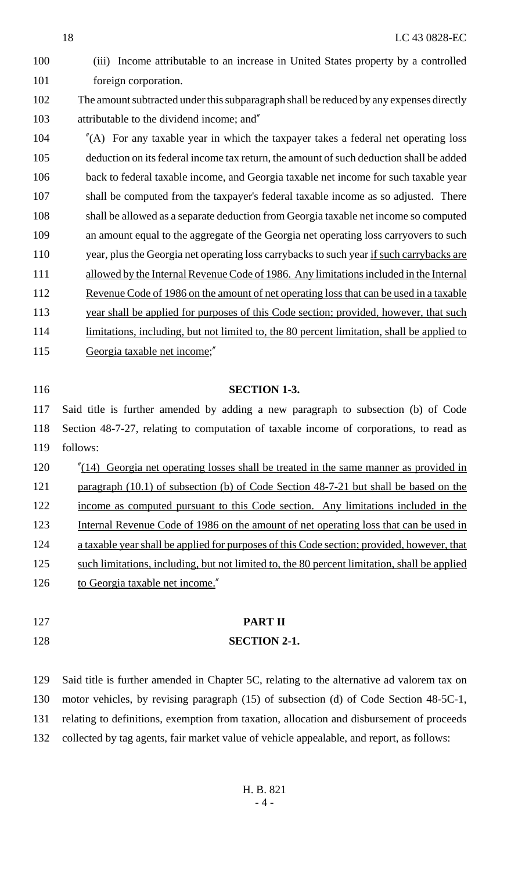(iii) Income attributable to an increase in United States property by a controlled 101 foreign corporation. The amount subtracted under this subparagraph shall be reduced by any expenses directly attributable to the dividend income; and" "(A) For any taxable year in which the taxpayer takes a federal net operating loss deduction on its federal income tax return, the amount of such deduction shall be added back to federal taxable income, and Georgia taxable net income for such taxable year shall be computed from the taxpayer's federal taxable income as so adjusted. There shall be allowed as a separate deduction from Georgia taxable net income so computed an amount equal to the aggregate of the Georgia net operating loss carryovers to such year, plus the Georgia net operating loss carrybacks to such year if such carrybacks are 111 allowed by the Internal Revenue Code of 1986. Any limitations included in the Internal 112 Revenue Code of 1986 on the amount of net operating loss that can be used in a taxable year shall be applied for purposes of this Code section; provided, however, that such limitations, including, but not limited to, the 80 percent limitation, shall be applied to Georgia taxable net income;" **SECTION 1-3.**

 Said title is further amended by adding a new paragraph to subsection (b) of Code Section 48-7-27, relating to computation of taxable income of corporations, to read as follows:

120 "(14) Georgia net operating losses shall be treated in the same manner as provided in 121 paragraph (10.1) of subsection (b) of Code Section 48-7-21 but shall be based on the income as computed pursuant to this Code section. Any limitations included in the Internal Revenue Code of 1986 on the amount of net operating loss that can be used in a taxable year shall be applied for purposes of this Code section; provided, however, that 125 such limitations, including, but not limited to, the 80 percent limitation, shall be applied 126 to Georgia taxable net income."

**PART II**

### **SECTION 2-1.**

 Said title is further amended in Chapter 5C, relating to the alternative ad valorem tax on motor vehicles, by revising paragraph (15) of subsection (d) of Code Section 48-5C-1, relating to definitions, exemption from taxation, allocation and disbursement of proceeds collected by tag agents, fair market value of vehicle appealable, and report, as follows: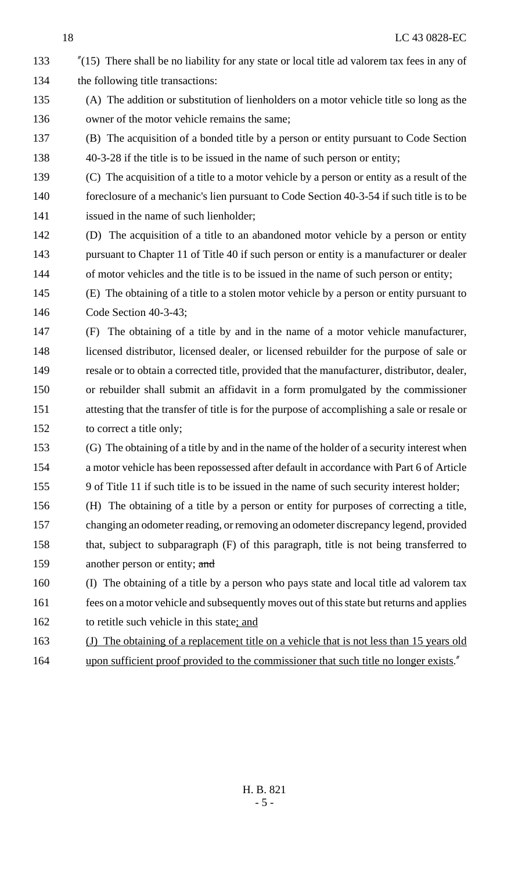- "(15) There shall be no liability for any state or local title ad valorem tax fees in any of 134 the following title transactions:
- (A) The addition or substitution of lienholders on a motor vehicle title so long as the owner of the motor vehicle remains the same;
- (B) The acquisition of a bonded title by a person or entity pursuant to Code Section 40-3-28 if the title is to be issued in the name of such person or entity;
- (C) The acquisition of a title to a motor vehicle by a person or entity as a result of the 140 foreclosure of a mechanic's lien pursuant to Code Section 40-3-54 if such title is to be issued in the name of such lienholder;
- (D) The acquisition of a title to an abandoned motor vehicle by a person or entity pursuant to Chapter 11 of Title 40 if such person or entity is a manufacturer or dealer 144 of motor vehicles and the title is to be issued in the name of such person or entity;
- (E) The obtaining of a title to a stolen motor vehicle by a person or entity pursuant to Code Section 40-3-43;
- (F) The obtaining of a title by and in the name of a motor vehicle manufacturer, licensed distributor, licensed dealer, or licensed rebuilder for the purpose of sale or resale or to obtain a corrected title, provided that the manufacturer, distributor, dealer, or rebuilder shall submit an affidavit in a form promulgated by the commissioner attesting that the transfer of title is for the purpose of accomplishing a sale or resale or to correct a title only;
- (G) The obtaining of a title by and in the name of the holder of a security interest when a motor vehicle has been repossessed after default in accordance with Part 6 of Article 9 of Title 11 if such title is to be issued in the name of such security interest holder;
- (H) The obtaining of a title by a person or entity for purposes of correcting a title,
- changing an odometer reading, or removing an odometer discrepancy legend, provided 158 that, subject to subparagraph (F) of this paragraph, title is not being transferred to 159 another person or entity; and
- (I) The obtaining of a title by a person who pays state and local title ad valorem tax 161 fees on a motor vehicle and subsequently moves out of this state but returns and applies 162 to retitle such vehicle in this state; and
- 163 (J) The obtaining of a replacement title on a vehicle that is not less than 15 years old
- 164 upon sufficient proof provided to the commissioner that such title no longer exists."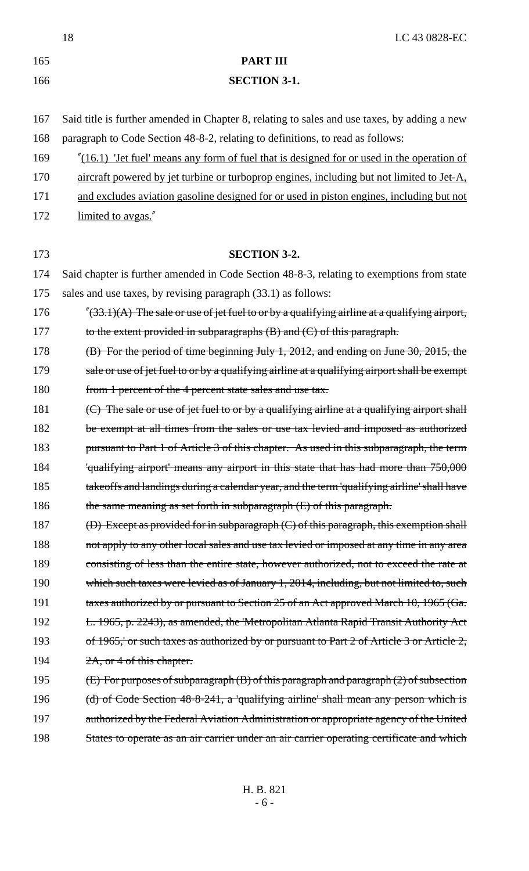18 LC 43 0828-EC 165 **PART III** 166 **SECTION 3-1.** 167 Said title is further amended in Chapter 8, relating to sales and use taxes, by adding a new 168 paragraph to Code Section 48-8-2, relating to definitions, to read as follows: 169 "(16.1) 'Jet fuel' means any form of fuel that is designed for or used in the operation of 170 aircraft powered by jet turbine or turboprop engines, including but not limited to Jet-A, 171 and excludes aviation gasoline designed for or used in piston engines, including but not 172 limited to avgas." 173 **SECTION 3-2.** 174 Said chapter is further amended in Code Section 48-8-3, relating to exemptions from state 175 sales and use taxes, by revising paragraph (33.1) as follows: 176  $\frac{\pi}{33.1}(A)$  The sale or use of jet fuel to or by a qualifying airline at a qualifying airport, 177 to the extent provided in subparagraphs  $(B)$  and  $(C)$  of this paragraph. 178 (B) For the period of time beginning July 1, 2012, and ending on June 30, 2015, the 179 sale or use of jet fuel to or by a qualifying airline at a qualifying airport shall be exempt 180 from 1 percent of the 4 percent state sales and use tax. 181  $\left($ C) The sale or use of jet fuel to or by a qualifying airline at a qualifying airport shall 182 be exempt at all times from the sales or use tax levied and imposed as authorized 183 pursuant to Part 1 of Article 3 of this chapter. As used in this subparagraph, the term 184 'qualifying airport' means any airport in this state that has had more than 750,000 185 takeoffs and landings during a calendar year, and the term 'qualifying airline' shall have 186 the same meaning as set forth in subparagraph (E) of this paragraph. 187 (D) Except as provided for in subparagraph (C) of this paragraph, this exemption shall 188 not apply to any other local sales and use tax levied or imposed at any time in any area 189 consisting of less than the entire state, however authorized, not to exceed the rate at 190 which such taxes were levied as of January 1, 2014, including, but not limited to, such 191 taxes authorized by or pursuant to Section 25 of an Act approved March 10, 1965 (Ga. 192 L. 1965, p. 2243), as amended, the 'Metropolitan Atlanta Rapid Transit Authority Act 193 of 1965,' or such taxes as authorized by or pursuant to Part 2 of Article 3 or Article 2, 194  $2A$ , or 4 of this chapter. 195 (E) For purposes of subparagraph (B) of this paragraph and paragraph (2) of subsection 196 (d) of Code Section 48-8-241, a 'qualifying airline' shall mean any person which is 197 authorized by the Federal Aviation Administration or appropriate agency of the United 198 States to operate as an air carrier under an air carrier operating certificate and which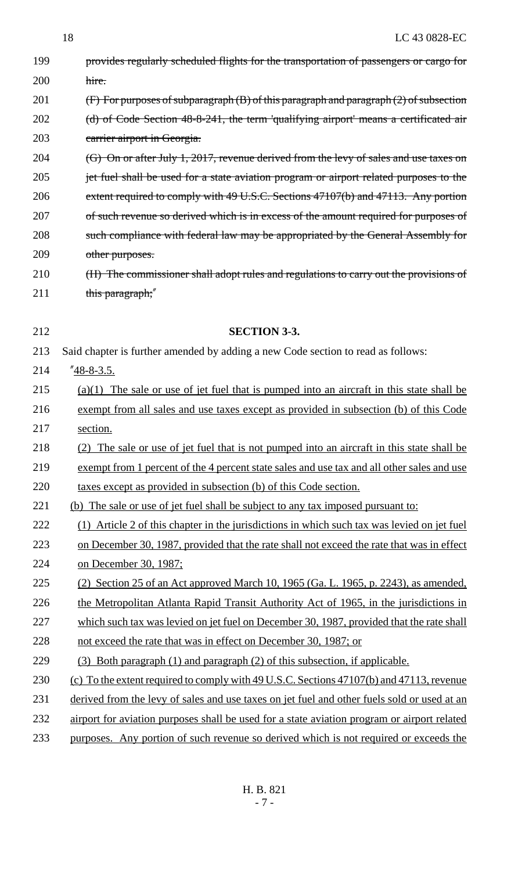199 provides regularly scheduled flights for the transportation of passengers or cargo for 200 hire. 201 (F) For purposes of subparagraph (B) of this paragraph and paragraph (2) of subsection 202 (d) of Code Section 48-8-241, the term 'qualifying airport' means a certificated air 203 carrier airport in Georgia. 204 (G) On or after July 1, 2017, revenue derived from the levy of sales and use taxes on 205 jet fuel shall be used for a state aviation program or airport related purposes to the 206 extent required to comply with 49 U.S.C. Sections 47107(b) and 47113. Any portion 207 of such revenue so derived which is in excess of the amount required for purposes of 208 such compliance with federal law may be appropriated by the General Assembly for 209 other purposes. 210 (H) The commissioner shall adopt rules and regulations to carry out the provisions of 211 this paragraph;" 212 **SECTION 3-3.** 213 Said chapter is further amended by adding a new Code section to read as follows: 214 "48-8-3.5. 215 (a)(1) The sale or use of jet fuel that is pumped into an aircraft in this state shall be 216 exempt from all sales and use taxes except as provided in subsection (b) of this Code 217 section. 218 (2) The sale or use of jet fuel that is not pumped into an aircraft in this state shall be 219 exempt from 1 percent of the 4 percent state sales and use tax and all other sales and use 220 taxes except as provided in subsection (b) of this Code section. 221 (b) The sale or use of jet fuel shall be subject to any tax imposed pursuant to: 222 (1) Article 2 of this chapter in the jurisdictions in which such tax was levied on jet fuel 223 on December 30, 1987, provided that the rate shall not exceed the rate that was in effect 224 on December 30, 1987; 225 (2) Section 25 of an Act approved March 10, 1965 (Ga. L. 1965, p. 2243), as amended, 226 the Metropolitan Atlanta Rapid Transit Authority Act of 1965, in the jurisdictions in 227 which such tax was levied on jet fuel on December 30, 1987, provided that the rate shall 228 not exceed the rate that was in effect on December 30, 1987; or 229 (3) Both paragraph (1) and paragraph (2) of this subsection, if applicable. 230 (c) To the extent required to comply with 49 U.S.C. Sections 47107(b) and 47113, revenue 231 derived from the levy of sales and use taxes on jet fuel and other fuels sold or used at an 232 airport for aviation purposes shall be used for a state aviation program or airport related 233 purposes. Any portion of such revenue so derived which is not required or exceeds the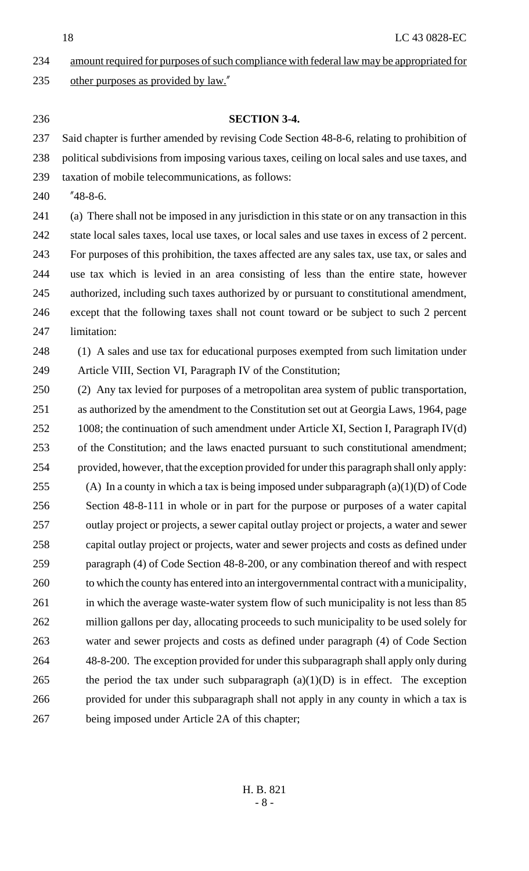18 LC 43 0828-EC

- amount required for purposes of such compliance with federal law may be appropriated for 235 other purposes as provided by law."
- 

### **SECTION 3-4.**

 Said chapter is further amended by revising Code Section 48-8-6, relating to prohibition of political subdivisions from imposing various taxes, ceiling on local sales and use taxes, and

- taxation of mobile telecommunications, as follows:
- "48-8-6.

 (a) There shall not be imposed in any jurisdiction in this state or on any transaction in this state local sales taxes, local use taxes, or local sales and use taxes in excess of 2 percent. For purposes of this prohibition, the taxes affected are any sales tax, use tax, or sales and use tax which is levied in an area consisting of less than the entire state, however authorized, including such taxes authorized by or pursuant to constitutional amendment, except that the following taxes shall not count toward or be subject to such 2 percent limitation:

 (1) A sales and use tax for educational purposes exempted from such limitation under Article VIII, Section VI, Paragraph IV of the Constitution;

 (2) Any tax levied for purposes of a metropolitan area system of public transportation, as authorized by the amendment to the Constitution set out at Georgia Laws, 1964, page 1008; the continuation of such amendment under Article XI, Section I, Paragraph IV(d) of the Constitution; and the laws enacted pursuant to such constitutional amendment; provided, however, that the exception provided for under this paragraph shall only apply: 255 (A) In a county in which a tax is being imposed under subparagraph  $(a)(1)(D)$  of Code Section 48-8-111 in whole or in part for the purpose or purposes of a water capital outlay project or projects, a sewer capital outlay project or projects, a water and sewer capital outlay project or projects, water and sewer projects and costs as defined under paragraph (4) of Code Section 48-8-200, or any combination thereof and with respect to which the county has entered into an intergovernmental contract with a municipality, 261 in which the average waste-water system flow of such municipality is not less than 85 million gallons per day, allocating proceeds to such municipality to be used solely for water and sewer projects and costs as defined under paragraph (4) of Code Section 48-8-200. The exception provided for under this subparagraph shall apply only during 265 the period the tax under such subparagraph  $(a)(1)(D)$  is in effect. The exception provided for under this subparagraph shall not apply in any county in which a tax is being imposed under Article 2A of this chapter;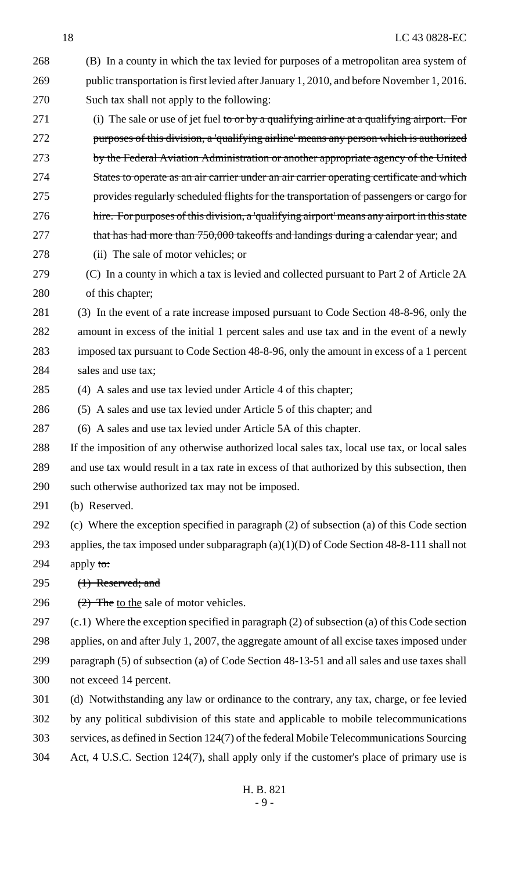- (B) In a county in which the tax levied for purposes of a metropolitan area system of public transportation is first levied after January 1, 2010, and before November 1, 2016. Such tax shall not apply to the following: 271 (i) The sale or use of jet fuel to or by a qualifying airline at a qualifying airport. For
- purposes of this division, a 'qualifying airline' means any person which is authorized by the Federal Aviation Administration or another appropriate agency of the United States to operate as an air carrier under an air carrier operating certificate and which provides regularly scheduled flights for the transportation of passengers or cargo for hire. For purposes of this division, a 'qualifying airport' means any airport in this state 277 that has had more than 750,000 takeoffs and landings during a calendar year; and
- (ii) The sale of motor vehicles; or
- (C) In a county in which a tax is levied and collected pursuant to Part 2 of Article 2A of this chapter;
- (3) In the event of a rate increase imposed pursuant to Code Section 48-8-96, only the amount in excess of the initial 1 percent sales and use tax and in the event of a newly imposed tax pursuant to Code Section 48-8-96, only the amount in excess of a 1 percent 284 sales and use tax;
- (4) A sales and use tax levied under Article 4 of this chapter;
- (5) A sales and use tax levied under Article 5 of this chapter; and
- (6) A sales and use tax levied under Article 5A of this chapter.
- If the imposition of any otherwise authorized local sales tax, local use tax, or local sales and use tax would result in a tax rate in excess of that authorized by this subsection, then such otherwise authorized tax may not be imposed.
- (b) Reserved.
- (c) Where the exception specified in paragraph (2) of subsection (a) of this Code section
- applies, the tax imposed under subparagraph (a)(1)(D) of Code Section 48-8-111 shall not 294 apply to:
- 
- 295 (1) Reserved; and
- 296  $(2)$  The to the sale of motor vehicles.

 (c.1) Where the exception specified in paragraph (2) of subsection (a) of this Code section applies, on and after July 1, 2007, the aggregate amount of all excise taxes imposed under paragraph (5) of subsection (a) of Code Section 48-13-51 and all sales and use taxes shall not exceed 14 percent.

- (d) Notwithstanding any law or ordinance to the contrary, any tax, charge, or fee levied by any political subdivision of this state and applicable to mobile telecommunications services, as defined in Section 124(7) of the federal Mobile Telecommunications Sourcing Act, 4 U.S.C. Section 124(7), shall apply only if the customer's place of primary use is
	- H. B. 821 - 9 -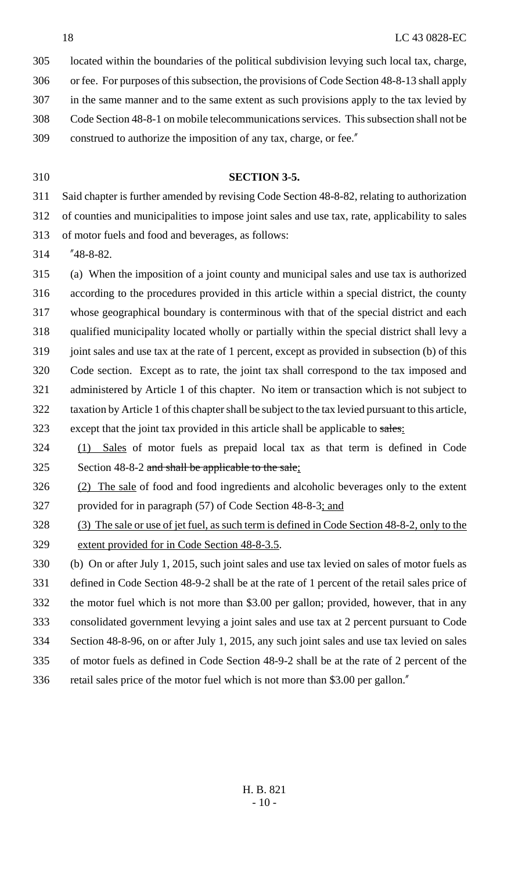located within the boundaries of the political subdivision levying such local tax, charge,

or fee. For purposes of this subsection, the provisions of Code Section 48-8-13 shall apply

- in the same manner and to the same extent as such provisions apply to the tax levied by
- Code Section 48-8-1 on mobile telecommunications services. This subsection shall not be
- construed to authorize the imposition of any tax, charge, or fee."
- 

### **SECTION 3-5.**

Said chapter is further amended by revising Code Section 48-8-82, relating to authorization

of counties and municipalities to impose joint sales and use tax, rate, applicability to sales

of motor fuels and food and beverages, as follows:

"48-8-82.

 (a) When the imposition of a joint county and municipal sales and use tax is authorized according to the procedures provided in this article within a special district, the county whose geographical boundary is conterminous with that of the special district and each qualified municipality located wholly or partially within the special district shall levy a 319 joint sales and use tax at the rate of 1 percent, except as provided in subsection (b) of this Code section. Except as to rate, the joint tax shall correspond to the tax imposed and administered by Article 1 of this chapter. No item or transaction which is not subject to taxation by Article 1 of this chapter shall be subject to the tax levied pursuant to this article, 323 except that the joint tax provided in this article shall be applicable to sales.

 (1) Sales of motor fuels as prepaid local tax as that term is defined in Code Section 48-8-2 and shall be applicable to the sale;

 (2) The sale of food and food ingredients and alcoholic beverages only to the extent provided for in paragraph (57) of Code Section 48-8-3; and

 (3) The sale or use of jet fuel, as such term is defined in Code Section 48-8-2, only to the extent provided for in Code Section 48-8-3.5.

(b) On or after July 1, 2015, such joint sales and use tax levied on sales of motor fuels as

defined in Code Section 48-9-2 shall be at the rate of 1 percent of the retail sales price of

the motor fuel which is not more than \$3.00 per gallon; provided, however, that in any

consolidated government levying a joint sales and use tax at 2 percent pursuant to Code

- Section 48-8-96, on or after July 1, 2015, any such joint sales and use tax levied on sales
- of motor fuels as defined in Code Section 48-9-2 shall be at the rate of 2 percent of the
- retail sales price of the motor fuel which is not more than \$3.00 per gallon."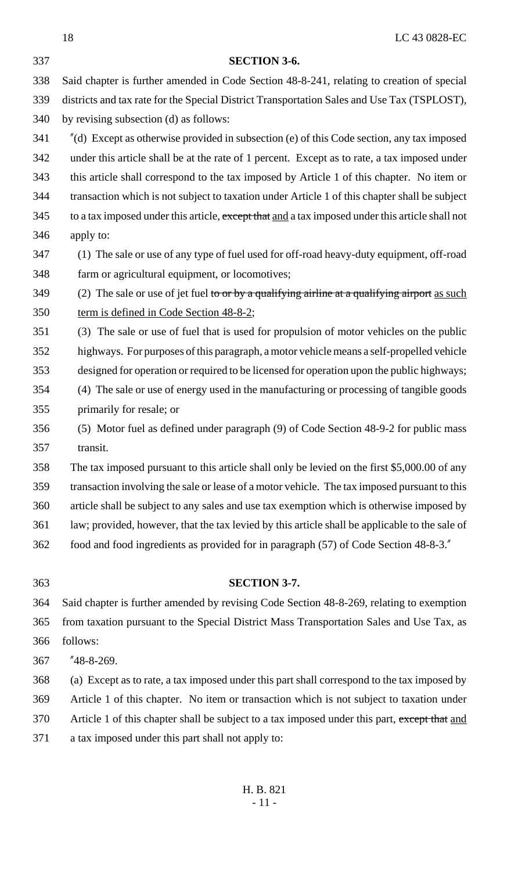| 339 | districts and tax rate for the Special District Transportation Sales and Use Tax (TSPLOST),                |
|-----|------------------------------------------------------------------------------------------------------------|
| 340 | by revising subsection (d) as follows:                                                                     |
| 341 | $^{\prime\prime}$ (d) Except as otherwise provided in subsection (e) of this Code section, any tax imposed |
| 342 | under this article shall be at the rate of 1 percent. Except as to rate, a tax imposed under               |
| 343 | this article shall correspond to the tax imposed by Article 1 of this chapter. No item or                  |
| 344 | transaction which is not subject to taxation under Article 1 of this chapter shall be subject              |
| 345 | to a tax imposed under this article, except that and a tax imposed under this article shall not            |
| 346 | apply to:                                                                                                  |
| 347 | (1) The sale or use of any type of fuel used for off-road heavy-duty equipment, off-road                   |
| 348 | farm or agricultural equipment, or locomotives;                                                            |
| 349 | (2) The sale or use of jet fuel to or by a qualifying airline at a qualifying airport as such              |
| 350 | term is defined in Code Section 48-8-2;                                                                    |
| 351 | (3) The sale or use of fuel that is used for propulsion of motor vehicles on the public                    |
| 352 | highways. For purposes of this paragraph, a motor vehicle means a self-propelled vehicle                   |
| 353 | designed for operation or required to be licensed for operation upon the public highways;                  |
| 354 | (4) The sale or use of energy used in the manufacturing or processing of tangible goods                    |
| 355 | primarily for resale; or                                                                                   |
| 356 | (5) Motor fuel as defined under paragraph (9) of Code Section 48-9-2 for public mass                       |
| 357 | transit.                                                                                                   |
| 358 | The tax imposed pursuant to this article shall only be levied on the first \$5,000.00 of any               |
| 359 | transaction involving the sale or lease of a motor vehicle. The tax imposed pursuant to this               |
| 360 | article shall be subject to any sales and use tax exemption which is otherwise imposed by                  |
| 361 | law; provided, however, that the tax levied by this article shall be applicable to the sale of             |
| 362 | food and food ingredients as provided for in paragraph (57) of Code Section 48-8-3."                       |
|     |                                                                                                            |
| 363 | <b>SECTION 3-7.</b>                                                                                        |
| 364 | Said chapter is further amended by revising Code Section 48-8-269, relating to exemption                   |
| 365 | from taxation pursuant to the Special District Mass Transportation Sales and Use Tax, as                   |
| 366 | follows:                                                                                                   |
| 367 | "48-8-269.                                                                                                 |
| 368 | (a) Except as to rate, a tax imposed under this part shall correspond to the tax imposed by                |
| 369 | Article 1 of this chapter. No item or transaction which is not subject to taxation under                   |
| 370 | Article 1 of this chapter shall be subject to a tax imposed under this part, except that and               |
| 371 | a tax imposed under this part shall not apply to:                                                          |
|     |                                                                                                            |

Said chapter is further amended in Code Section 48-8-241, relating to creation of special

**SECTION 3-6.**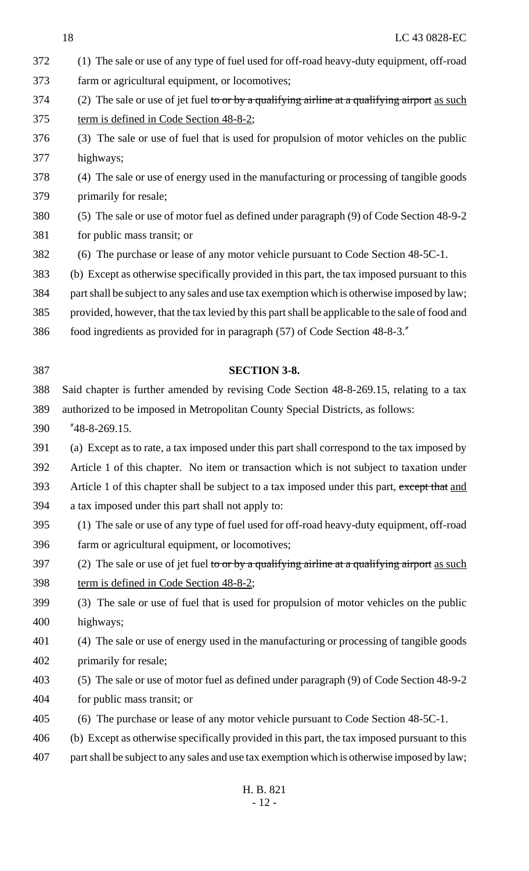| 372 | (1) The sale or use of any type of fuel used for off-road heavy-duty equipment, off-road        |
|-----|-------------------------------------------------------------------------------------------------|
| 373 | farm or agricultural equipment, or locomotives;                                                 |
| 374 | (2) The sale or use of jet fuel to or by a qualifying airline at a qualifying airport as such   |
| 375 | term is defined in Code Section 48-8-2;                                                         |
| 376 | (3) The sale or use of fuel that is used for propulsion of motor vehicles on the public         |
| 377 | highways;                                                                                       |
| 378 | (4) The sale or use of energy used in the manufacturing or processing of tangible goods         |
| 379 | primarily for resale;                                                                           |
| 380 | (5) The sale or use of motor fuel as defined under paragraph (9) of Code Section 48-9-2         |
| 381 | for public mass transit; or                                                                     |
| 382 | (6) The purchase or lease of any motor vehicle pursuant to Code Section 48-5C-1.                |
| 383 | (b) Except as otherwise specifically provided in this part, the tax imposed pursuant to this    |
| 384 | part shall be subject to any sales and use tax exemption which is otherwise imposed by law;     |
| 385 | provided, however, that the tax levied by this part shall be applicable to the sale of food and |
| 386 | food ingredients as provided for in paragraph (57) of Code Section 48-8-3."                     |
|     |                                                                                                 |
| 387 | <b>SECTION 3-8.</b>                                                                             |
| 388 | Said chapter is further amended by revising Code Section 48-8-269.15, relating to a tax         |
| 389 | authorized to be imposed in Metropolitan County Special Districts, as follows:                  |
| 390 | $"48-8-269.15.$                                                                                 |
| 391 | (a) Except as to rate, a tax imposed under this part shall correspond to the tax imposed by     |
| 392 | Article 1 of this chapter. No item or transaction which is not subject to taxation under        |
| 393 | Article 1 of this chapter shall be subject to a tax imposed under this part, except that and    |
| 394 | a tax imposed under this part shall not apply to:                                               |
| 395 | (1) The sale or use of any type of fuel used for off-road heavy-duty equipment, off-road        |
| 396 | farm or agricultural equipment, or locomotives;                                                 |
| 397 | (2) The sale or use of jet fuel to or by a qualifying airline at a qualifying airport as such   |
| 398 | term is defined in Code Section 48-8-2;                                                         |
| 399 | (3) The sale or use of fuel that is used for propulsion of motor vehicles on the public         |
| 400 | highways;                                                                                       |
| 401 | (4) The sale or use of energy used in the manufacturing or processing of tangible goods         |
| 402 | primarily for resale;                                                                           |
| 403 | (5) The sale or use of motor fuel as defined under paragraph (9) of Code Section 48-9-2         |
| 404 | for public mass transit; or                                                                     |
| 405 | (6) The purchase or lease of any motor vehicle pursuant to Code Section 48-5C-1.                |
| 406 | (b) Except as otherwise specifically provided in this part, the tax imposed pursuant to this    |
| 407 | part shall be subject to any sales and use tax exemption which is otherwise imposed by law;     |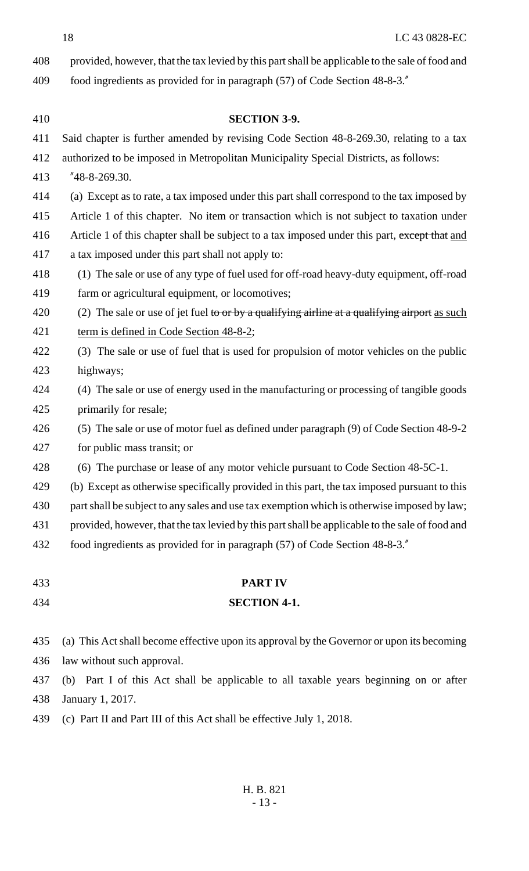18 LC 43 0828-EC

| 408 | provided, however, that the tax levied by this part shall be applicable to the sale of food and |
|-----|-------------------------------------------------------------------------------------------------|
| 409 | food ingredients as provided for in paragraph (57) of Code Section 48-8-3."                     |
|     |                                                                                                 |

| 410 | <b>SECTION 3-9.</b>                                                                             |
|-----|-------------------------------------------------------------------------------------------------|
| 411 | Said chapter is further amended by revising Code Section 48-8-269.30, relating to a tax         |
| 412 | authorized to be imposed in Metropolitan Municipality Special Districts, as follows:            |
| 413 | $"48-8-269.30.$                                                                                 |
| 414 | (a) Except as to rate, a tax imposed under this part shall correspond to the tax imposed by     |
| 415 | Article 1 of this chapter. No item or transaction which is not subject to taxation under        |
| 416 | Article 1 of this chapter shall be subject to a tax imposed under this part, except that and    |
| 417 | a tax imposed under this part shall not apply to:                                               |
| 418 | (1) The sale or use of any type of fuel used for off-road heavy-duty equipment, off-road        |
| 419 | farm or agricultural equipment, or locomotives;                                                 |
| 420 | (2) The sale or use of jet fuel to or by a qualifying airline at a qualifying airport as such   |
| 421 | term is defined in Code Section 48-8-2;                                                         |
| 422 | (3) The sale or use of fuel that is used for propulsion of motor vehicles on the public         |
| 423 | highways;                                                                                       |
| 424 | (4) The sale or use of energy used in the manufacturing or processing of tangible goods         |
| 425 | primarily for resale;                                                                           |
| 426 | (5) The sale or use of motor fuel as defined under paragraph (9) of Code Section 48-9-2         |
| 427 | for public mass transit; or                                                                     |
| 428 | (6) The purchase or lease of any motor vehicle pursuant to Code Section 48-5C-1.                |
| 429 | (b) Except as otherwise specifically provided in this part, the tax imposed pursuant to this    |
| 430 | part shall be subject to any sales and use tax exemption which is otherwise imposed by law;     |
| 431 | provided, however, that the tax levied by this part shall be applicable to the sale of food and |
| 432 | food ingredients as provided for in paragraph (57) of Code Section 48-8-3."                     |
|     |                                                                                                 |
| 433 | <b>PART IV</b>                                                                                  |
| 434 | <b>SECTION 4-1.</b>                                                                             |
| 435 | (a) This Act shall become effective upon its approval by the Governor or upon its becoming      |
| 436 | law without such approval.                                                                      |
| 437 | (b) Part I of this Act shall be applicable to all taxable years beginning on or after           |
| 438 | January 1, 2017.                                                                                |
| 439 | (c) Part II and Part III of this Act shall be effective July 1, 2018.                           |